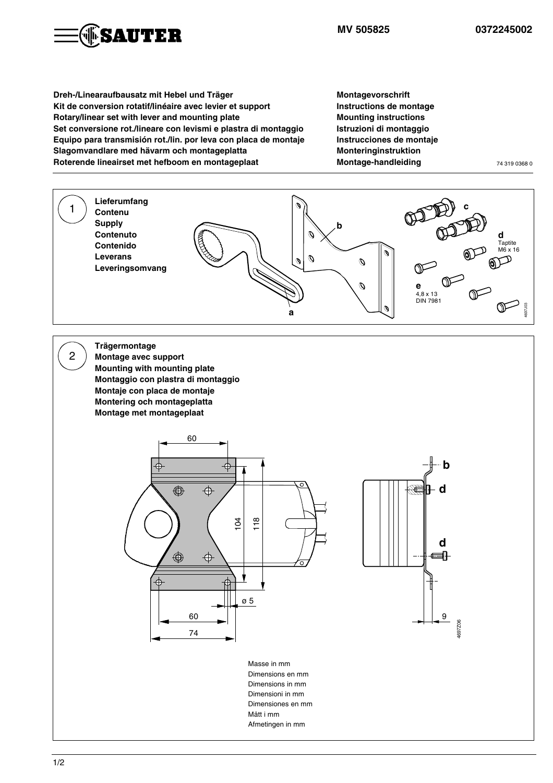

**MV 505825 0372245002**

**Dreh-/Linearaufbausatz mit Hebel und Träger Kit de conversion rotatif/linéaire avec levier et support Rotary/linear set with lever and mounting plate Set conversione rot./lineare con levismi e plastra di montaggio Equipo para transmisión rot./lin. por leva con placa de montaje Slagomvandlare med hävarm och montageplatta Roterende lineairset met hefboom en montageplaat**

**Montagevorschrift Instructions de montage Mounting instructions Istruzioni di montaggio Instrucciones de montaje Monteringinstruktion Montage-handleiding** 74 319 0368 0